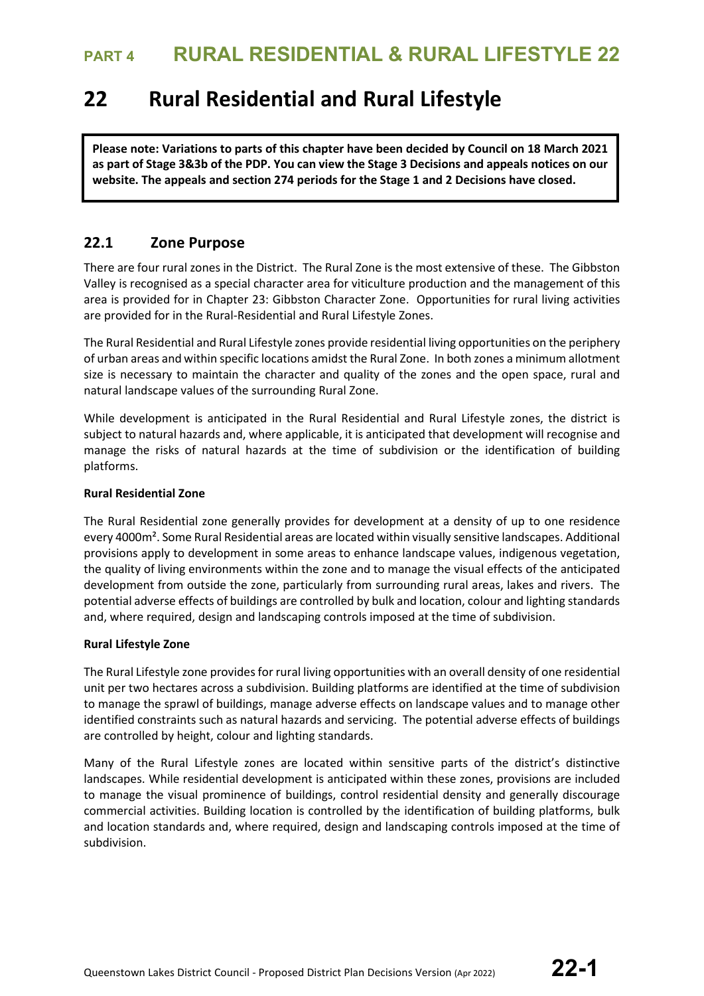# **22 Rural Residential and Rural Lifestyle**

**Please note: Variations to parts of this chapter have been decided by Council on 18 March 2021 as part of Stage 3&3b of the PDP. You can view the Stage 3 Decisions and appeals notices on our website. The appeals and section 274 periods for the Stage 1 and 2 Decisions have closed.**

## **22.1 Zone Purpose**

There are four rural zones in the District. The Rural Zone is the most extensive of these. The Gibbston Valley is recognised as a special character area for viticulture production and the management of this area is provided for in Chapter 23: Gibbston Character Zone. Opportunities for rural living activities are provided for in the Rural-Residential and Rural Lifestyle Zones.

The Rural Residential and Rural Lifestyle zones provide residential living opportunities on the periphery of urban areas and within specific locations amidst the Rural Zone. In both zones a minimum allotment size is necessary to maintain the character and quality of the zones and the open space, rural and natural landscape values of the surrounding Rural Zone.

While development is anticipated in the Rural Residential and Rural Lifestyle zones, the district is subject to natural hazards and, where applicable, it is anticipated that development will recognise and manage the risks of natural hazards at the time of subdivision or the identification of building platforms.

### **Rural Residential Zone**

The Rural Residential zone generally provides for development at a density of up to one residence every 4000m². Some Rural Residential areas are located within visually sensitive landscapes. Additional provisions apply to development in some areas to enhance landscape values, indigenous vegetation, the quality of living environments within the zone and to manage the visual effects of the anticipated development from outside the zone, particularly from surrounding rural areas, lakes and rivers. The potential adverse effects of buildings are controlled by bulk and location, colour and lighting standards and, where required, design and landscaping controls imposed at the time of subdivision.

### **Rural Lifestyle Zone**

The Rural Lifestyle zone provides for rural living opportunities with an overall density of one residential unit per two hectares across a subdivision. Building platforms are identified at the time of subdivision to manage the sprawl of buildings, manage adverse effects on landscape values and to manage other identified constraints such as natural hazards and servicing. The potential adverse effects of buildings are controlled by height, colour and lighting standards.

Many of the Rural Lifestyle zones are located within sensitive parts of the district's distinctive landscapes. While residential development is anticipated within these zones, provisions are included to manage the visual prominence of buildings, control residential density and generally discourage commercial activities. Building location is controlled by the identification of building platforms, bulk and location standards and, where required, design and landscaping controls imposed at the time of subdivision.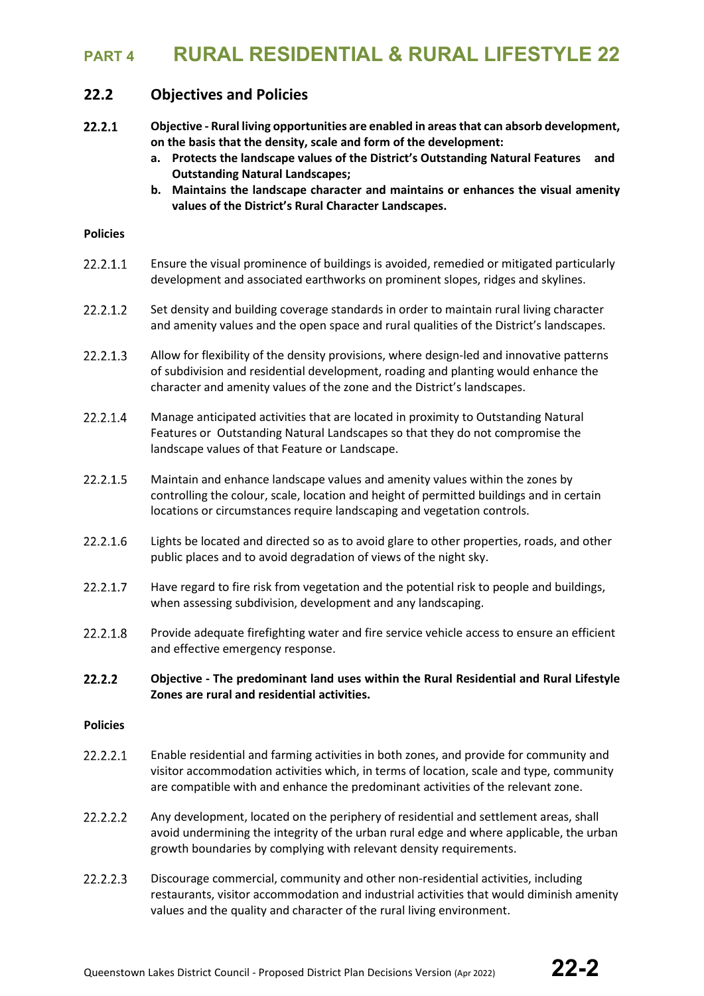## **22.2 Objectives and Policies**

- $22.2.1$ **Objective - Rural living opportunities are enabled in areas that can absorb development, on the basis that the density, scale and form of the development:**
	- **a. Protects the landscape values of the District's Outstanding Natural Features and Outstanding Natural Landscapes;**
	- **b. Maintains the landscape character and maintains or enhances the visual amenity values of the District's Rural Character Landscapes.**

### **Policies**

- 22.2.1.1 Ensure the visual prominence of buildings is avoided, remedied or mitigated particularly development and associated earthworks on prominent slopes, ridges and skylines.
- 22.2.1.2 Set density and building coverage standards in order to maintain rural living character and amenity values and the open space and rural qualities of the District's landscapes.
- 22.2.1.3 Allow for flexibility of the density provisions, where design-led and innovative patterns of subdivision and residential development, roading and planting would enhance the character and amenity values of the zone and the District's landscapes.
- 22.2.1.4 Manage anticipated activities that are located in proximity to Outstanding Natural Features or Outstanding Natural Landscapes so that they do not compromise the landscape values of that Feature or Landscape.
- 22.2.1.5 Maintain and enhance landscape values and amenity values within the zones by controlling the colour, scale, location and height of permitted buildings and in certain locations or circumstances require landscaping and vegetation controls.
- 22.2.1.6 Lights be located and directed so as to avoid glare to other properties, roads, and other public places and to avoid degradation of views of the night sky.
- 22.2.1.7 Have regard to fire risk from vegetation and the potential risk to people and buildings, when assessing subdivision, development and any landscaping.
- 22.2.1.8 Provide adequate firefighting water and fire service vehicle access to ensure an efficient and effective emergency response.
- $22.2.2$ **Objective - The predominant land uses within the Rural Residential and Rural Lifestyle Zones are rural and residential activities.**

#### **Policies**

- 22.2.2.1 Enable residential and farming activities in both zones, and provide for community and visitor accommodation activities which, in terms of location, scale and type, community are compatible with and enhance the predominant activities of the relevant zone.
- 22.2.2.2 Any development, located on the periphery of residential and settlement areas, shall avoid undermining the integrity of the urban rural edge and where applicable, the urban growth boundaries by complying with relevant density requirements.
- 22.2.2.3 Discourage commercial, community and other non-residential activities, including restaurants, visitor accommodation and industrial activities that would diminish amenity values and the quality and character of the rural living environment.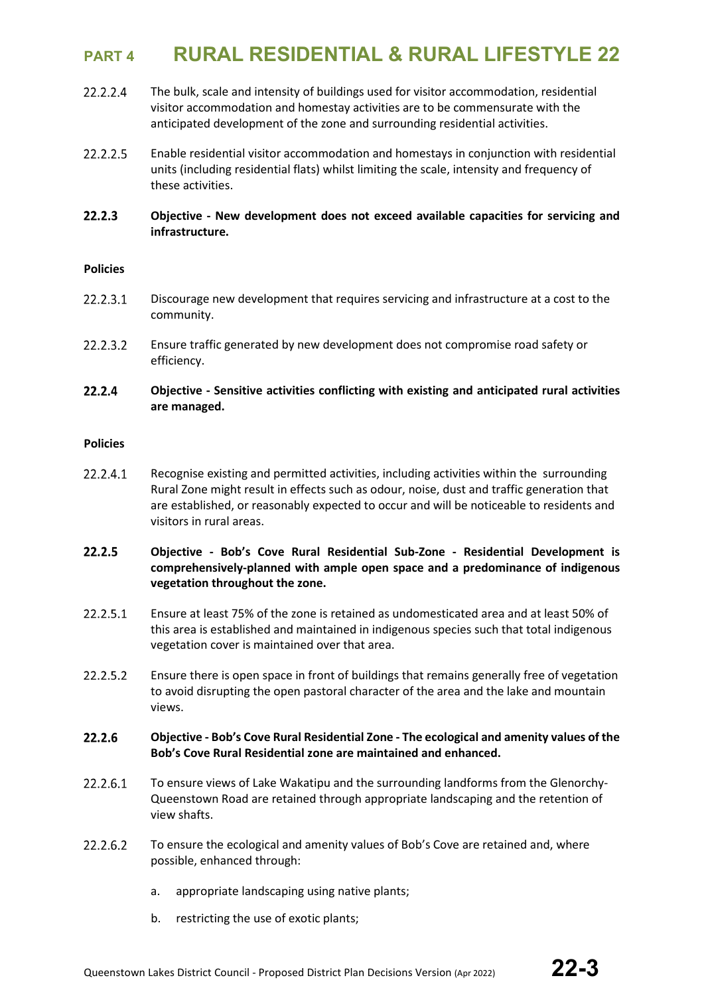- 22.2.2.4 The bulk, scale and intensity of buildings used for visitor accommodation, residential visitor accommodation and homestay activities are to be commensurate with the anticipated development of the zone and surrounding residential activities.
- 22.2.2.5 Enable residential visitor accommodation and homestays in conjunction with residential units (including residential flats) whilst limiting the scale, intensity and frequency of these activities.
- $22.2.3$ **Objective - New development does not exceed available capacities for servicing and infrastructure.**

### **Policies**

- 22.2.3.1 Discourage new development that requires servicing and infrastructure at a cost to the community.
- 22.2.3.2 Ensure traffic generated by new development does not compromise road safety or efficiency.

#### 22.2.4 **Objective - Sensitive activities conflicting with existing and anticipated rural activities are managed.**

### **Policies**

- 22.2.4.1 Recognise existing and permitted activities, including activities within the surrounding Rural Zone might result in effects such as odour, noise, dust and traffic generation that are established, or reasonably expected to occur and will be noticeable to residents and visitors in rural areas.
- 22.2.5 **Objective - Bob's Cove Rural Residential Sub-Zone - Residential Development is comprehensively-planned with ample open space and a predominance of indigenous vegetation throughout the zone.**
- 22.2.5.1 Ensure at least 75% of the zone is retained as undomesticated area and at least 50% of this area is established and maintained in indigenous species such that total indigenous vegetation cover is maintained over that area.
- 22.2.5.2 Ensure there is open space in front of buildings that remains generally free of vegetation to avoid disrupting the open pastoral character of the area and the lake and mountain views.

#### $22.2.6$ **Objective - Bob's Cove Rural Residential Zone - The ecological and amenity values of the Bob's Cove Rural Residential zone are maintained and enhanced.**

- 22.2.6.1 To ensure views of Lake Wakatipu and the surrounding landforms from the Glenorchy-Queenstown Road are retained through appropriate landscaping and the retention of view shafts.
- 22.2.6.2 To ensure the ecological and amenity values of Bob's Cove are retained and, where possible, enhanced through:
	- a. appropriate landscaping using native plants;
	- b. restricting the use of exotic plants;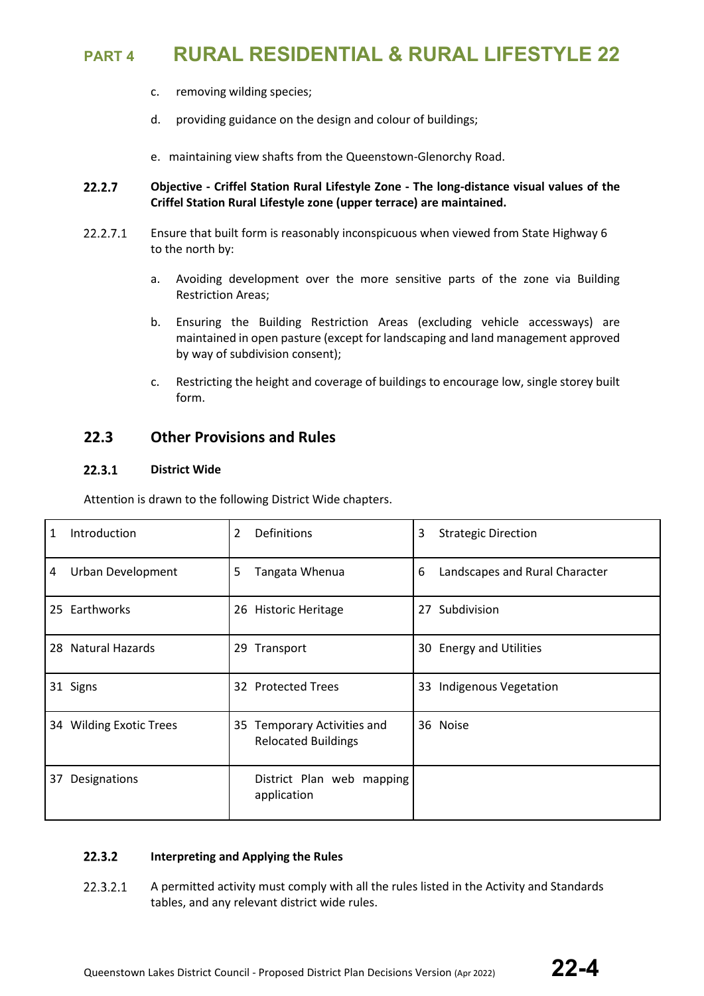- c. removing wilding species;
- d. providing guidance on the design and colour of buildings;
- e. maintaining view shafts from the Queenstown-Glenorchy Road.

#### 22.2.7 **Objective - Criffel Station Rural Lifestyle Zone - The long-distance visual values of the Criffel Station Rural Lifestyle zone (upper terrace) are maintained.**

- 22.2.7.1 Ensure that built form is reasonably inconspicuous when viewed from State Highway 6 to the north by:
	- a. Avoiding development over the more sensitive parts of the zone via Building Restriction Areas;
	- b. Ensuring the Building Restriction Areas (excluding vehicle accessways) are maintained in open pasture (except for landscaping and land management approved by way of subdivision consent);
	- c. Restricting the height and coverage of buildings to encourage low, single storey built form.

## **22.3 Other Provisions and Rules**

#### $22.3.1$ **District Wide**

Attention is drawn to the following District Wide chapters.

| Introduction<br>1       | Definitions<br>2                                          | 3<br><b>Strategic Direction</b>     |
|-------------------------|-----------------------------------------------------------|-------------------------------------|
| Urban Development<br>4  | 5<br>Tangata Whenua                                       | 6<br>Landscapes and Rural Character |
| 25 Earthworks           | 26 Historic Heritage                                      | Subdivision<br>27                   |
| 28 Natural Hazards      | 29 Transport                                              | 30 Energy and Utilities             |
| 31 Signs                | 32 Protected Trees                                        | 33 Indigenous Vegetation            |
| 34 Wilding Exotic Trees | 35 Temporary Activities and<br><b>Relocated Buildings</b> | 36 Noise                            |
| Designations<br>37      | District Plan web mapping<br>application                  |                                     |

#### $22.3.2$ **Interpreting and Applying the Rules**

22.3.2.1 A permitted activity must comply with all the rules listed in the Activity and Standards tables, and any relevant district wide rules.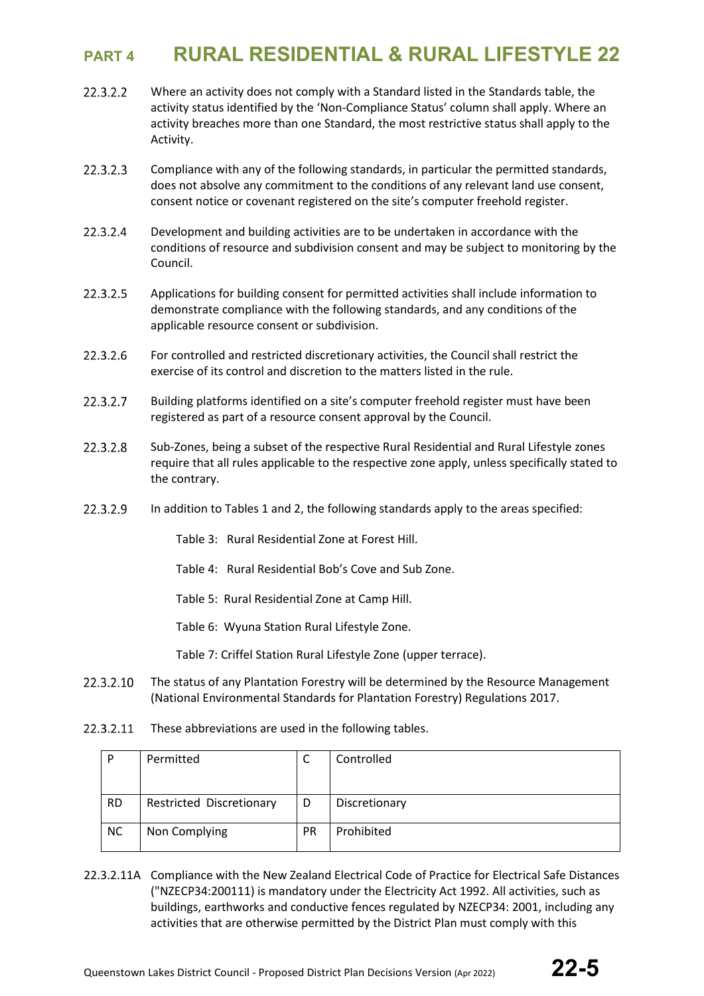- 22.3.2.2 Where an activity does not comply with a Standard listed in the Standards table, the activity status identified by the 'Non-Compliance Status' column shall apply. Where an activity breaches more than one Standard, the most restrictive status shall apply to the Activity.
- 22.3.2.3 Compliance with any of the following standards, in particular the permitted standards, does not absolve any commitment to the conditions of any relevant land use consent, consent notice or covenant registered on the site's computer freehold register.
- 22.3.2.4 Development and building activities are to be undertaken in accordance with the conditions of resource and subdivision consent and may be subject to monitoring by the Council.
- 22.3.2.5 Applications for building consent for permitted activities shall include information to demonstrate compliance with the following standards, and any conditions of the applicable resource consent or subdivision.
- 22.3.2.6 For controlled and restricted discretionary activities, the Council shall restrict the exercise of its control and discretion to the matters listed in the rule.
- 22.3.2.7 Building platforms identified on a site's computer freehold register must have been registered as part of a resource consent approval by the Council.
- 22.3.2.8 Sub-Zones, being a subset of the respective Rural Residential and Rural Lifestyle zones require that all rules applicable to the respective zone apply, unless specifically stated to the contrary.
- 22.3.2.9 In addition to Tables 1 and 2, the following standards apply to the areas specified:
	- Table 3: Rural Residential Zone at Forest Hill.
	- Table 4: Rural Residential Bob's Cove and Sub Zone.
	- Table 5: Rural Residential Zone at Camp Hill.
	- Table 6: Wyuna Station Rural Lifestyle Zone.

Table 7: Criffel Station Rural Lifestyle Zone (upper terrace).

- 22.3.2.10 The status of any Plantation Forestry will be determined by the Resource Management (National Environmental Standards for Plantation Forestry) Regulations 2017.
- 22.3.2.11 These abbreviations are used in the following tables.

| P         | Permitted                | ◡         | Controlled    |
|-----------|--------------------------|-----------|---------------|
|           |                          |           |               |
|           |                          |           |               |
| <b>RD</b> | Restricted Discretionary | D         | Discretionary |
|           |                          |           |               |
| <b>NC</b> | Non Complying            | <b>PR</b> | Prohibited    |
|           |                          |           |               |

22.3.2.11A Compliance with the New Zealand Electrical Code of Practice for Electrical Safe Distances ("NZECP34:200111) is mandatory under the Electricity Act 1992. All activities, such as buildings, earthworks and conductive fences regulated by NZECP34: 2001, including any activities that are otherwise permitted by the District Plan must comply with this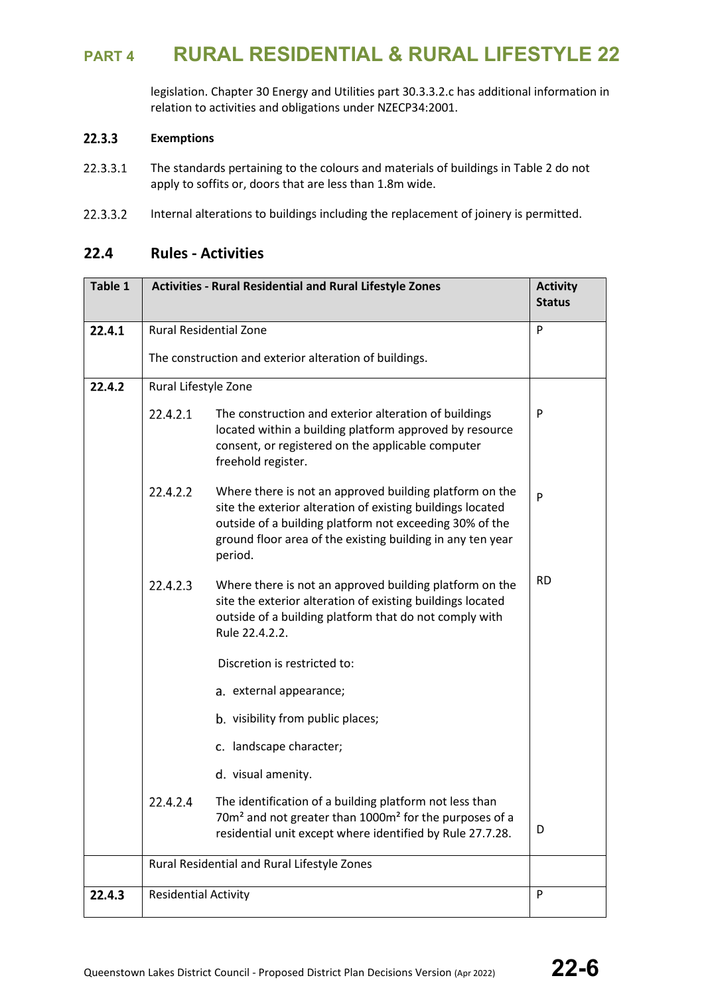legislation. Chapter 30 Energy and Utilities part 30.3.3.2.c has additional information in relation to activities and obligations under NZECP34:2001.

#### 22.3.3 **Exemptions**

- 22.3.3.1 The standards pertaining to the colours and materials of buildings in Table 2 do not apply to soffits or, doors that are less than 1.8m wide.
- 22.3.3.2 Internal alterations to buildings including the replacement of joinery is permitted.

## **22.4 Rules - Activities**

| Table 1 | <b>Activities - Rural Residential and Rural Lifestyle Zones</b> | <b>Activity</b><br><b>Status</b>                                                                                                                                                                                                                          |   |
|---------|-----------------------------------------------------------------|-----------------------------------------------------------------------------------------------------------------------------------------------------------------------------------------------------------------------------------------------------------|---|
| 22.4.1  | <b>Rural Residential Zone</b>                                   | P                                                                                                                                                                                                                                                         |   |
|         |                                                                 | The construction and exterior alteration of buildings.                                                                                                                                                                                                    |   |
| 22.4.2  | Rural Lifestyle Zone                                            |                                                                                                                                                                                                                                                           |   |
|         | 22.4.2.1                                                        | The construction and exterior alteration of buildings<br>located within a building platform approved by resource<br>consent, or registered on the applicable computer<br>freehold register.                                                               | P |
|         | 22.4.2.2                                                        | Where there is not an approved building platform on the<br>site the exterior alteration of existing buildings located<br>outside of a building platform not exceeding 30% of the<br>ground floor area of the existing building in any ten year<br>period. | P |
|         | 22.4.2.3                                                        | <b>RD</b><br>Where there is not an approved building platform on the<br>site the exterior alteration of existing buildings located<br>outside of a building platform that do not comply with<br>Rule 22.4.2.2.                                            |   |
|         | Discretion is restricted to:                                    |                                                                                                                                                                                                                                                           |   |
|         | a. external appearance;                                         |                                                                                                                                                                                                                                                           |   |
|         |                                                                 | b. visibility from public places;                                                                                                                                                                                                                         |   |
|         |                                                                 | c. landscape character;                                                                                                                                                                                                                                   |   |
|         |                                                                 | d. visual amenity.                                                                                                                                                                                                                                        |   |
|         | 22.4.2.4                                                        | The identification of a building platform not less than<br>70m <sup>2</sup> and not greater than 1000m <sup>2</sup> for the purposes of a<br>residential unit except where identified by Rule 27.7.28.                                                    | D |
|         |                                                                 | Rural Residential and Rural Lifestyle Zones                                                                                                                                                                                                               |   |
| 22.4.3  | <b>Residential Activity</b>                                     |                                                                                                                                                                                                                                                           | P |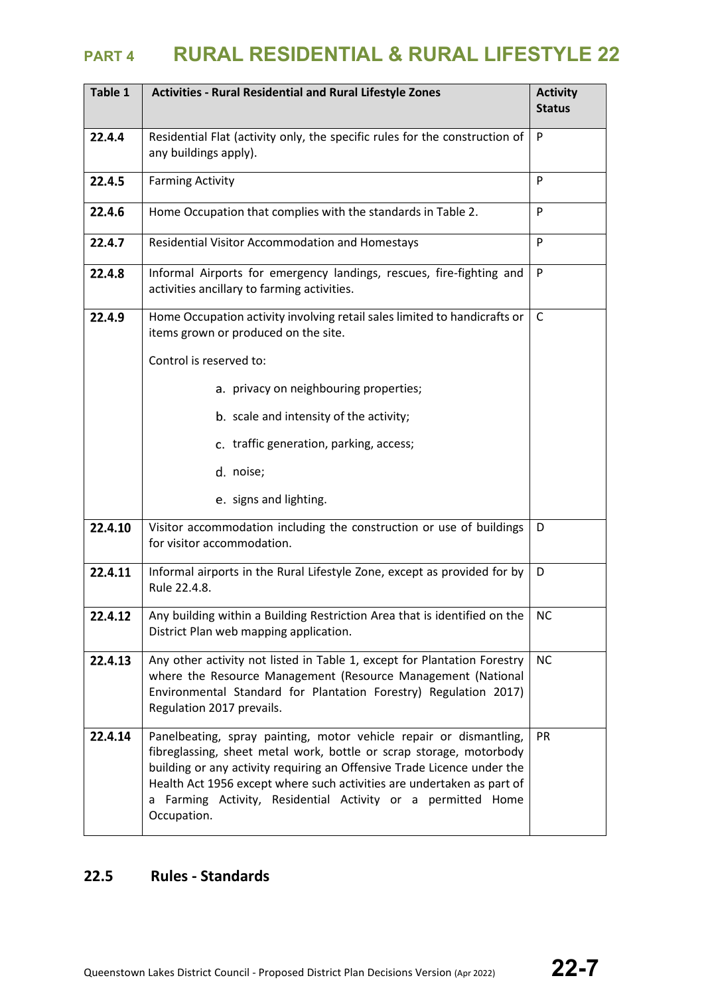| Table 1 | <b>Activities - Rural Residential and Rural Lifestyle Zones</b>                                                                                                                                                                                                                                                                                                               | <b>Activity</b><br><b>Status</b> |
|---------|-------------------------------------------------------------------------------------------------------------------------------------------------------------------------------------------------------------------------------------------------------------------------------------------------------------------------------------------------------------------------------|----------------------------------|
| 22.4.4  | Residential Flat (activity only, the specific rules for the construction of<br>any buildings apply).                                                                                                                                                                                                                                                                          | P                                |
| 22.4.5  | <b>Farming Activity</b>                                                                                                                                                                                                                                                                                                                                                       | P                                |
| 22.4.6  | Home Occupation that complies with the standards in Table 2.                                                                                                                                                                                                                                                                                                                  | P                                |
| 22.4.7  | Residential Visitor Accommodation and Homestays                                                                                                                                                                                                                                                                                                                               | P                                |
| 22.4.8  | Informal Airports for emergency landings, rescues, fire-fighting and<br>activities ancillary to farming activities.                                                                                                                                                                                                                                                           | P                                |
| 22.4.9  | Home Occupation activity involving retail sales limited to handicrafts or<br>items grown or produced on the site.                                                                                                                                                                                                                                                             | C                                |
|         | Control is reserved to:                                                                                                                                                                                                                                                                                                                                                       |                                  |
|         | a. privacy on neighbouring properties;                                                                                                                                                                                                                                                                                                                                        |                                  |
|         | b. scale and intensity of the activity;                                                                                                                                                                                                                                                                                                                                       |                                  |
|         | c. traffic generation, parking, access;                                                                                                                                                                                                                                                                                                                                       |                                  |
|         | d. noise;                                                                                                                                                                                                                                                                                                                                                                     |                                  |
|         | e. signs and lighting.                                                                                                                                                                                                                                                                                                                                                        |                                  |
| 22.4.10 | Visitor accommodation including the construction or use of buildings<br>for visitor accommodation.                                                                                                                                                                                                                                                                            | D                                |
| 22.4.11 | Informal airports in the Rural Lifestyle Zone, except as provided for by<br>Rule 22.4.8.                                                                                                                                                                                                                                                                                      | D                                |
| 22.4.12 | Any building within a Building Restriction Area that is identified on the<br>District Plan web mapping application.                                                                                                                                                                                                                                                           | <b>NC</b>                        |
| 22.4.13 | Any other activity not listed in Table 1, except for Plantation Forestry<br>where the Resource Management (Resource Management (National<br>Environmental Standard for Plantation Forestry) Regulation 2017)<br>Regulation 2017 prevails.                                                                                                                                     | <b>NC</b>                        |
| 22.4.14 | Panelbeating, spray painting, motor vehicle repair or dismantling,<br>fibreglassing, sheet metal work, bottle or scrap storage, motorbody<br>building or any activity requiring an Offensive Trade Licence under the<br>Health Act 1956 except where such activities are undertaken as part of<br>a Farming Activity, Residential Activity or a permitted Home<br>Occupation. | PR                               |

## **22.5 Rules - Standards**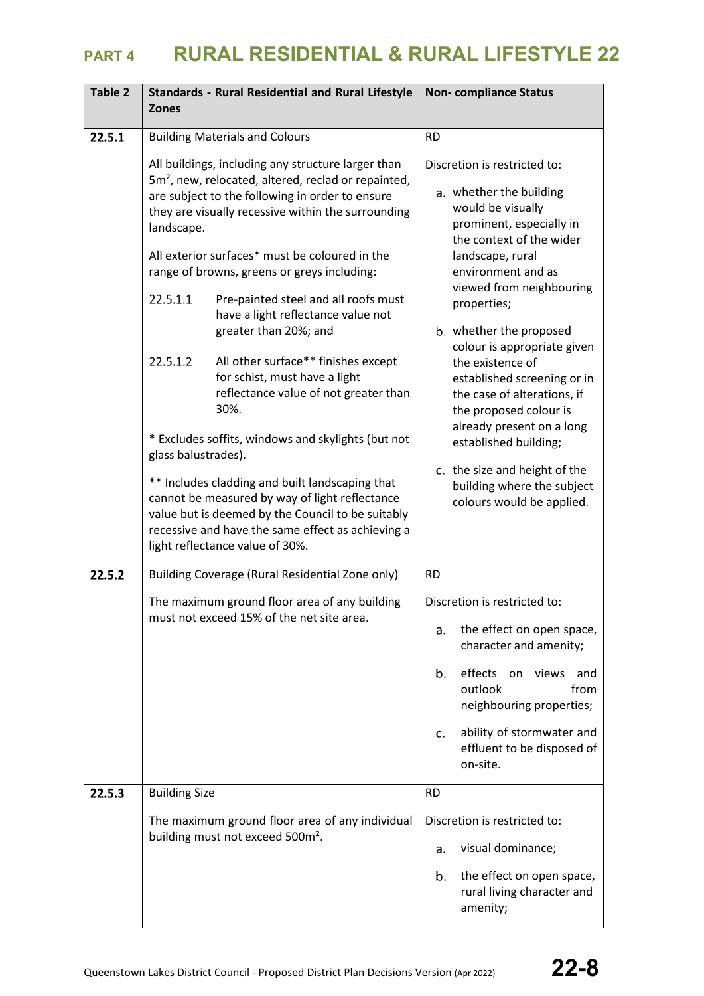| Table 2 | <b>Standards - Rural Residential and Rural Lifestyle</b><br><b>Zones</b>                                                                                                                                                                                                                                                                                                                                                                                         | <b>Non-compliance Status</b>                                                                                                                                                                                                                                                              |
|---------|------------------------------------------------------------------------------------------------------------------------------------------------------------------------------------------------------------------------------------------------------------------------------------------------------------------------------------------------------------------------------------------------------------------------------------------------------------------|-------------------------------------------------------------------------------------------------------------------------------------------------------------------------------------------------------------------------------------------------------------------------------------------|
| 22.5.1  | <b>Building Materials and Colours</b>                                                                                                                                                                                                                                                                                                                                                                                                                            | <b>RD</b>                                                                                                                                                                                                                                                                                 |
|         | All buildings, including any structure larger than<br>5m <sup>2</sup> , new, relocated, altered, reclad or repainted,<br>are subject to the following in order to ensure<br>they are visually recessive within the surrounding<br>landscape.<br>All exterior surfaces* must be coloured in the<br>range of browns, greens or greys including:<br>22.5.1.1<br>Pre-painted steel and all roofs must<br>have a light reflectance value not<br>greater than 20%; and | Discretion is restricted to:<br>a. whether the building<br>would be visually<br>prominent, especially in<br>the context of the wider<br>landscape, rural<br>environment and as<br>viewed from neighbouring<br>properties;<br>b. whether the proposed                                      |
|         | All other surface** finishes except<br>22.5.1.2<br>for schist, must have a light<br>reflectance value of not greater than<br>30%.<br>* Excludes soffits, windows and skylights (but not<br>glass balustrades).<br>** Includes cladding and built landscaping that<br>cannot be measured by way of light reflectance<br>value but is deemed by the Council to be suitably<br>recessive and have the same effect as achieving a<br>light reflectance value of 30%. | colour is appropriate given<br>the existence of<br>established screening or in<br>the case of alterations, if<br>the proposed colour is<br>already present on a long<br>established building;<br>c. the size and height of the<br>building where the subject<br>colours would be applied. |
| 22.5.2  | Building Coverage (Rural Residential Zone only)                                                                                                                                                                                                                                                                                                                                                                                                                  | <b>RD</b>                                                                                                                                                                                                                                                                                 |
|         | The maximum ground floor area of any building<br>must not exceed 15% of the net site area.                                                                                                                                                                                                                                                                                                                                                                       | Discretion is restricted to:<br>the effect on open space,<br>a.<br>character and amenity;<br>effects on views<br>b.<br>and<br>outlook<br>from<br>neighbouring properties;<br>ability of stormwater and<br>c.<br>effluent to be disposed of<br>on-site.                                    |
| 22.5.3  | <b>Building Size</b>                                                                                                                                                                                                                                                                                                                                                                                                                                             | <b>RD</b>                                                                                                                                                                                                                                                                                 |
|         | The maximum ground floor area of any individual<br>building must not exceed 500m <sup>2</sup> .                                                                                                                                                                                                                                                                                                                                                                  | Discretion is restricted to:<br>visual dominance;<br>a.<br>the effect on open space,<br>b.<br>rural living character and<br>amenity;                                                                                                                                                      |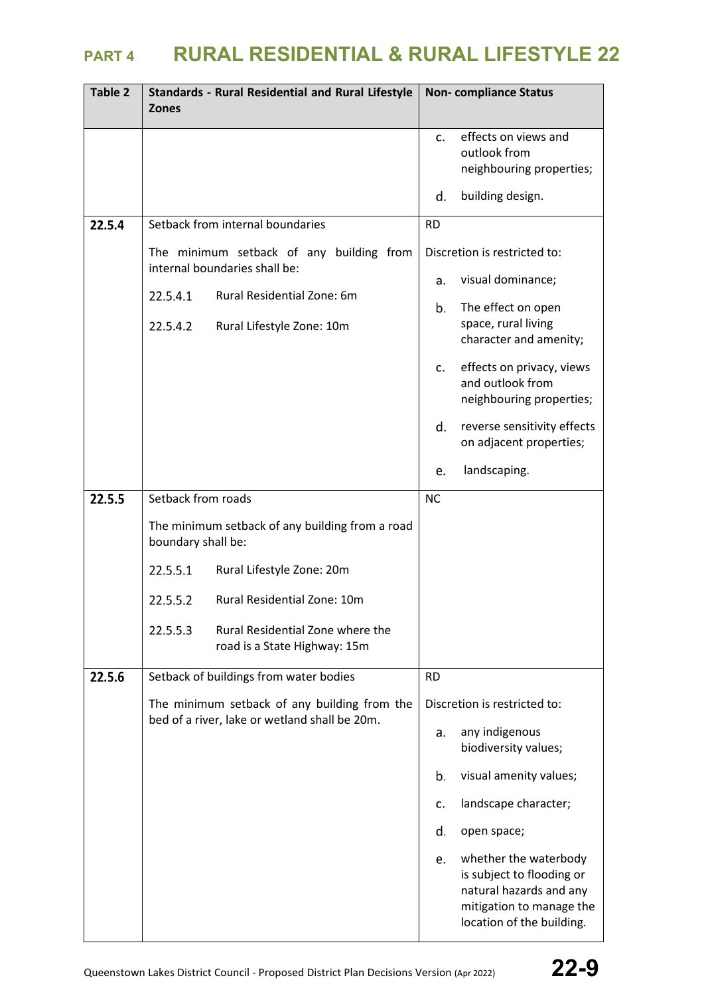| Table 2 | <b>Standards - Rural Residential and Rural Lifestyle</b><br><b>Zones</b>                      | <b>Non-compliance Status</b>                                                                                                                 |
|---------|-----------------------------------------------------------------------------------------------|----------------------------------------------------------------------------------------------------------------------------------------------|
|         |                                                                                               | effects on views and<br>C <sub>1</sub><br>outlook from<br>neighbouring properties;                                                           |
|         |                                                                                               | building design.<br>d.                                                                                                                       |
| 22.5.4  | Setback from internal boundaries                                                              | <b>RD</b>                                                                                                                                    |
|         | The minimum setback of any building from<br>internal boundaries shall be:                     | Discretion is restricted to:                                                                                                                 |
|         | 22.5.4.1<br>Rural Residential Zone: 6m                                                        | visual dominance;<br>a.<br>b.                                                                                                                |
|         | 22.5.4.2<br>Rural Lifestyle Zone: 10m                                                         | The effect on open<br>space, rural living<br>character and amenity;                                                                          |
|         |                                                                                               | effects on privacy, views<br>c.<br>and outlook from<br>neighbouring properties;                                                              |
|         |                                                                                               | reverse sensitivity effects<br>d.<br>on adjacent properties;                                                                                 |
|         |                                                                                               | landscaping.<br>e.                                                                                                                           |
| 22.5.5  | Setback from roads                                                                            | <b>NC</b>                                                                                                                                    |
|         | The minimum setback of any building from a road<br>boundary shall be:                         |                                                                                                                                              |
|         | 22.5.5.1<br>Rural Lifestyle Zone: 20m                                                         |                                                                                                                                              |
|         | Rural Residential Zone: 10m<br>22.5.5.2                                                       |                                                                                                                                              |
|         | 22.5.5.3<br>Rural Residential Zone where the<br>road is a State Highway: 15m                  |                                                                                                                                              |
| 22.5.6  | Setback of buildings from water bodies                                                        | <b>RD</b>                                                                                                                                    |
|         | The minimum setback of any building from the<br>bed of a river, lake or wetland shall be 20m. | Discretion is restricted to:                                                                                                                 |
|         |                                                                                               | any indigenous<br>a.<br>biodiversity values;                                                                                                 |
|         |                                                                                               | b.<br>visual amenity values;                                                                                                                 |
|         |                                                                                               | landscape character;<br>c.                                                                                                                   |
|         |                                                                                               | open space;<br>d.                                                                                                                            |
|         |                                                                                               | whether the waterbody<br>e.<br>is subject to flooding or<br>natural hazards and any<br>mitigation to manage the<br>location of the building. |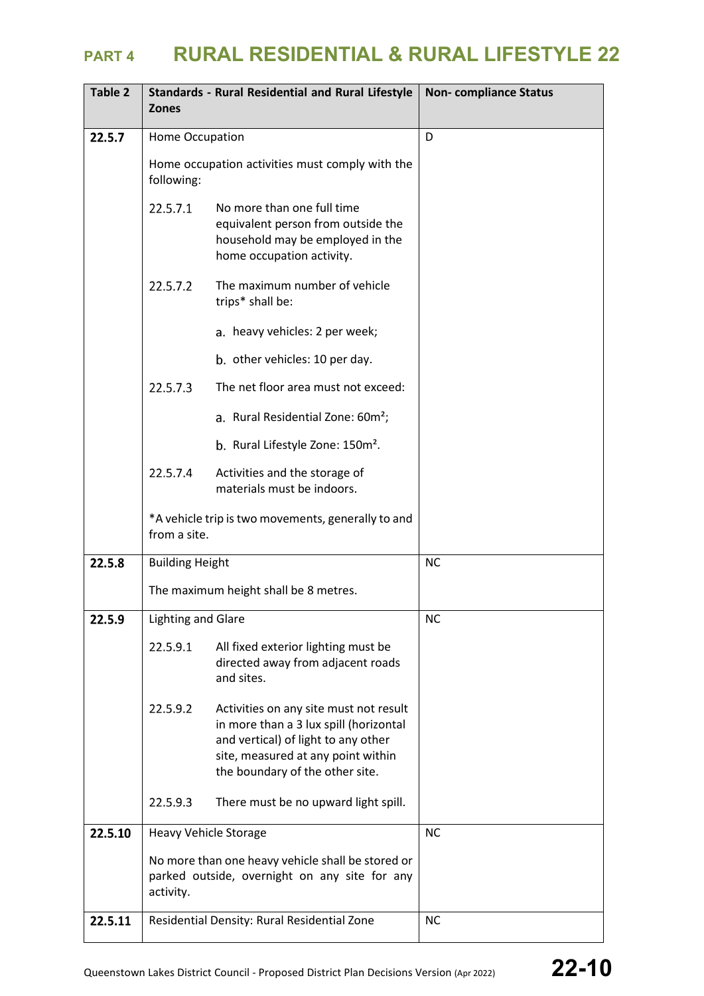| Table 2 | <b>Zones</b>              | <b>Standards - Rural Residential and Rural Lifestyle</b>                                                                                                                                         | <b>Non-compliance Status</b> |
|---------|---------------------------|--------------------------------------------------------------------------------------------------------------------------------------------------------------------------------------------------|------------------------------|
| 22.5.7  | Home Occupation           |                                                                                                                                                                                                  | D                            |
|         | following:                | Home occupation activities must comply with the                                                                                                                                                  |                              |
|         | 22.5.7.1                  | No more than one full time<br>equivalent person from outside the<br>household may be employed in the<br>home occupation activity.                                                                |                              |
|         | 22.5.7.2                  | The maximum number of vehicle<br>trips* shall be:                                                                                                                                                |                              |
|         |                           | a. heavy vehicles: 2 per week;                                                                                                                                                                   |                              |
|         |                           | b. other vehicles: 10 per day.                                                                                                                                                                   |                              |
|         | 22.5.7.3                  | The net floor area must not exceed:                                                                                                                                                              |                              |
|         |                           | a. Rural Residential Zone: 60m <sup>2</sup> ;                                                                                                                                                    |                              |
|         |                           | b. Rural Lifestyle Zone: 150m <sup>2</sup> .                                                                                                                                                     |                              |
|         | 22.5.7.4                  | Activities and the storage of<br>materials must be indoors.                                                                                                                                      |                              |
|         | from a site.              | *A vehicle trip is two movements, generally to and                                                                                                                                               |                              |
| 22.5.8  | <b>Building Height</b>    |                                                                                                                                                                                                  | <b>NC</b>                    |
|         |                           | The maximum height shall be 8 metres.                                                                                                                                                            |                              |
| 22.5.9  | <b>Lighting and Glare</b> |                                                                                                                                                                                                  | <b>NC</b>                    |
|         | 22.5.9.1                  | All fixed exterior lighting must be<br>directed away from adjacent roads<br>and sites.                                                                                                           |                              |
|         | 22.5.9.2                  | Activities on any site must not result<br>in more than a 3 lux spill (horizontal<br>and vertical) of light to any other<br>site, measured at any point within<br>the boundary of the other site. |                              |
|         | 22.5.9.3                  | There must be no upward light spill.                                                                                                                                                             |                              |
| 22.5.10 | Heavy Vehicle Storage     |                                                                                                                                                                                                  | <b>NC</b>                    |
|         | activity.                 | No more than one heavy vehicle shall be stored or<br>parked outside, overnight on any site for any                                                                                               |                              |
| 22.5.11 |                           | Residential Density: Rural Residential Zone                                                                                                                                                      | <b>NC</b>                    |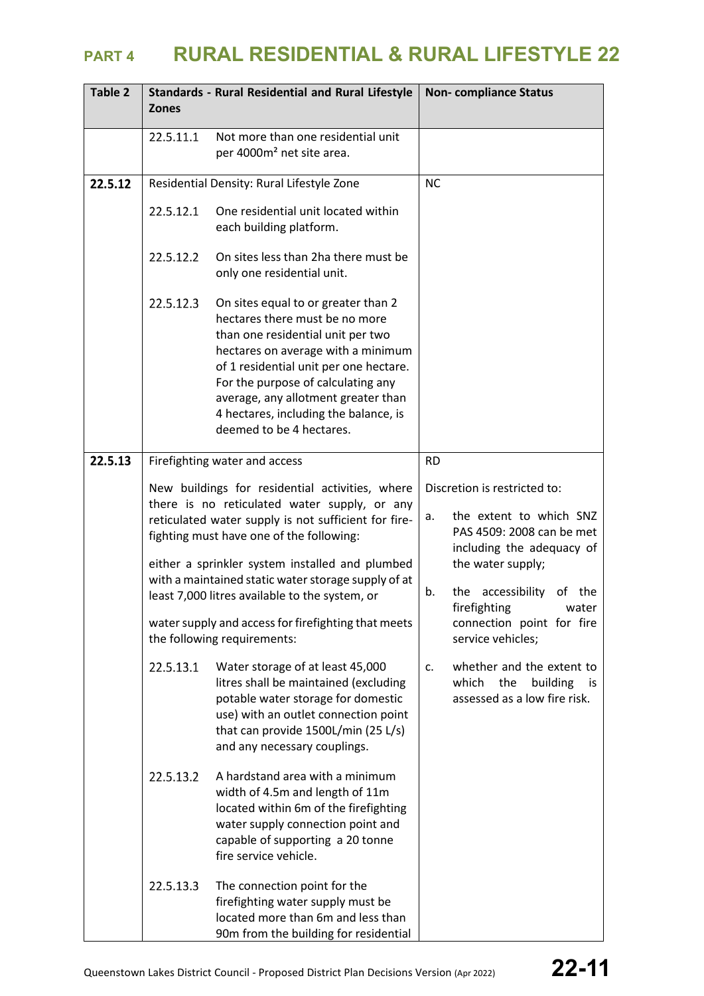| Table 2 | <b>Zones</b> | <b>Standards - Rural Residential and Rural Lifestyle</b>                                                                                                                                                                                                                                                                                                        |           | <b>Non-compliance Status</b>                                                                                                                                                                      |
|---------|--------------|-----------------------------------------------------------------------------------------------------------------------------------------------------------------------------------------------------------------------------------------------------------------------------------------------------------------------------------------------------------------|-----------|---------------------------------------------------------------------------------------------------------------------------------------------------------------------------------------------------|
|         | 22.5.11.1    | Not more than one residential unit<br>per 4000m <sup>2</sup> net site area.                                                                                                                                                                                                                                                                                     |           |                                                                                                                                                                                                   |
| 22.5.12 |              | Residential Density: Rural Lifestyle Zone                                                                                                                                                                                                                                                                                                                       | <b>NC</b> |                                                                                                                                                                                                   |
|         | 22.5.12.1    | One residential unit located within<br>each building platform.                                                                                                                                                                                                                                                                                                  |           |                                                                                                                                                                                                   |
|         | 22.5.12.2    | On sites less than 2ha there must be<br>only one residential unit.                                                                                                                                                                                                                                                                                              |           |                                                                                                                                                                                                   |
|         | 22.5.12.3    | On sites equal to or greater than 2<br>hectares there must be no more<br>than one residential unit per two<br>hectares on average with a minimum<br>of 1 residential unit per one hectare.<br>For the purpose of calculating any<br>average, any allotment greater than<br>4 hectares, including the balance, is<br>deemed to be 4 hectares.                    |           |                                                                                                                                                                                                   |
| 22.5.13 |              | Firefighting water and access                                                                                                                                                                                                                                                                                                                                   | <b>RD</b> |                                                                                                                                                                                                   |
|         |              | New buildings for residential activities, where<br>there is no reticulated water supply, or any<br>reticulated water supply is not sufficient for fire-<br>fighting must have one of the following:<br>either a sprinkler system installed and plumbed<br>with a maintained static water storage supply of at<br>least 7,000 litres available to the system, or | а.<br>b.  | Discretion is restricted to:<br>the extent to which SNZ<br>PAS 4509: 2008 can be met<br>including the adequacy of<br>the water supply;<br>the accessibility<br>the<br>0f<br>firefighting<br>water |
|         |              | water supply and access for firefighting that meets<br>the following requirements:                                                                                                                                                                                                                                                                              |           | connection point for fire<br>service vehicles;                                                                                                                                                    |
|         | 22.5.13.1    | Water storage of at least 45,000<br>litres shall be maintained (excluding<br>potable water storage for domestic<br>use) with an outlet connection point<br>that can provide 1500L/min (25 L/s)<br>and any necessary couplings.                                                                                                                                  | c.        | whether and the extent to<br>which<br>the<br>building<br>is is<br>assessed as a low fire risk.                                                                                                    |
|         | 22.5.13.2    | A hardstand area with a minimum<br>width of 4.5m and length of 11m<br>located within 6m of the firefighting<br>water supply connection point and<br>capable of supporting a 20 tonne<br>fire service vehicle.                                                                                                                                                   |           |                                                                                                                                                                                                   |
|         | 22.5.13.3    | The connection point for the<br>firefighting water supply must be<br>located more than 6m and less than<br>90m from the building for residential                                                                                                                                                                                                                |           |                                                                                                                                                                                                   |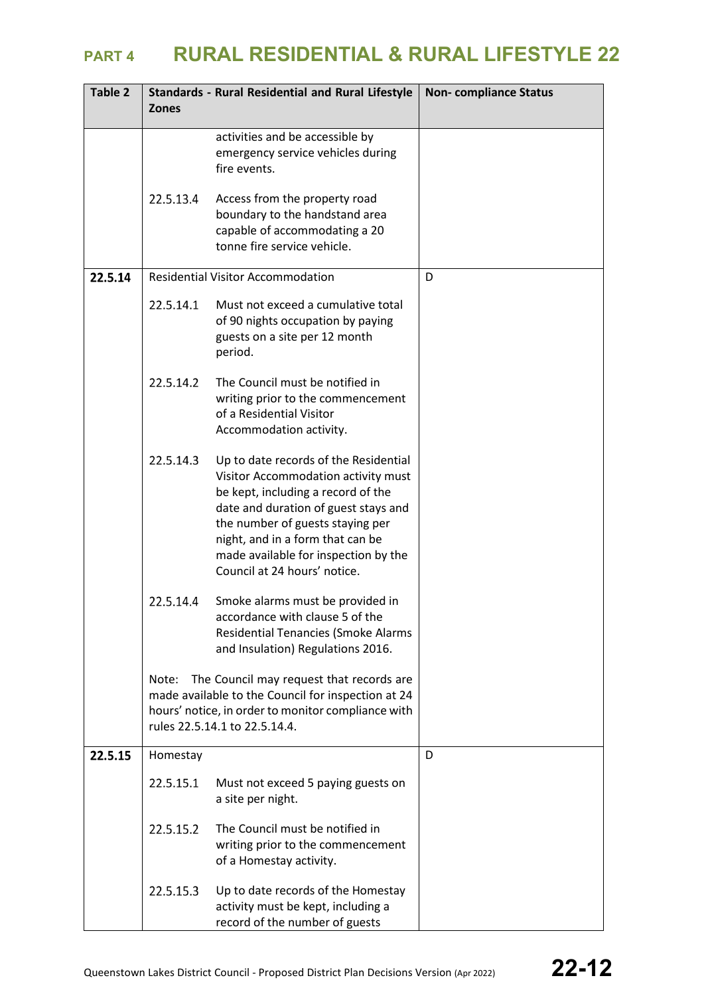| Table 2 | <b>Zones</b> | <b>Standards - Rural Residential and Rural Lifestyle</b>                                                                                                                                                                                                                                                   | <b>Non-compliance Status</b> |
|---------|--------------|------------------------------------------------------------------------------------------------------------------------------------------------------------------------------------------------------------------------------------------------------------------------------------------------------------|------------------------------|
|         |              | activities and be accessible by<br>emergency service vehicles during<br>fire events.                                                                                                                                                                                                                       |                              |
|         | 22.5.13.4    | Access from the property road<br>boundary to the handstand area<br>capable of accommodating a 20<br>tonne fire service vehicle.                                                                                                                                                                            |                              |
| 22.5.14 |              | <b>Residential Visitor Accommodation</b>                                                                                                                                                                                                                                                                   | D                            |
|         | 22.5.14.1    | Must not exceed a cumulative total<br>of 90 nights occupation by paying<br>guests on a site per 12 month<br>period.                                                                                                                                                                                        |                              |
|         | 22.5.14.2    | The Council must be notified in<br>writing prior to the commencement<br>of a Residential Visitor<br>Accommodation activity.                                                                                                                                                                                |                              |
|         | 22.5.14.3    | Up to date records of the Residential<br>Visitor Accommodation activity must<br>be kept, including a record of the<br>date and duration of guest stays and<br>the number of guests staying per<br>night, and in a form that can be<br>made available for inspection by the<br>Council at 24 hours' notice. |                              |
|         | 22.5.14.4    | Smoke alarms must be provided in<br>accordance with clause 5 of the<br><b>Residential Tenancies (Smoke Alarms</b><br>and Insulation) Regulations 2016.                                                                                                                                                     |                              |
|         | Note:        | The Council may request that records are<br>made available to the Council for inspection at 24<br>hours' notice, in order to monitor compliance with<br>rules 22.5.14.1 to 22.5.14.4.                                                                                                                      |                              |
| 22.5.15 | Homestay     |                                                                                                                                                                                                                                                                                                            | D                            |
|         | 22.5.15.1    | Must not exceed 5 paying guests on<br>a site per night.                                                                                                                                                                                                                                                    |                              |
|         | 22.5.15.2    | The Council must be notified in<br>writing prior to the commencement<br>of a Homestay activity.                                                                                                                                                                                                            |                              |
|         | 22.5.15.3    | Up to date records of the Homestay<br>activity must be kept, including a<br>record of the number of guests                                                                                                                                                                                                 |                              |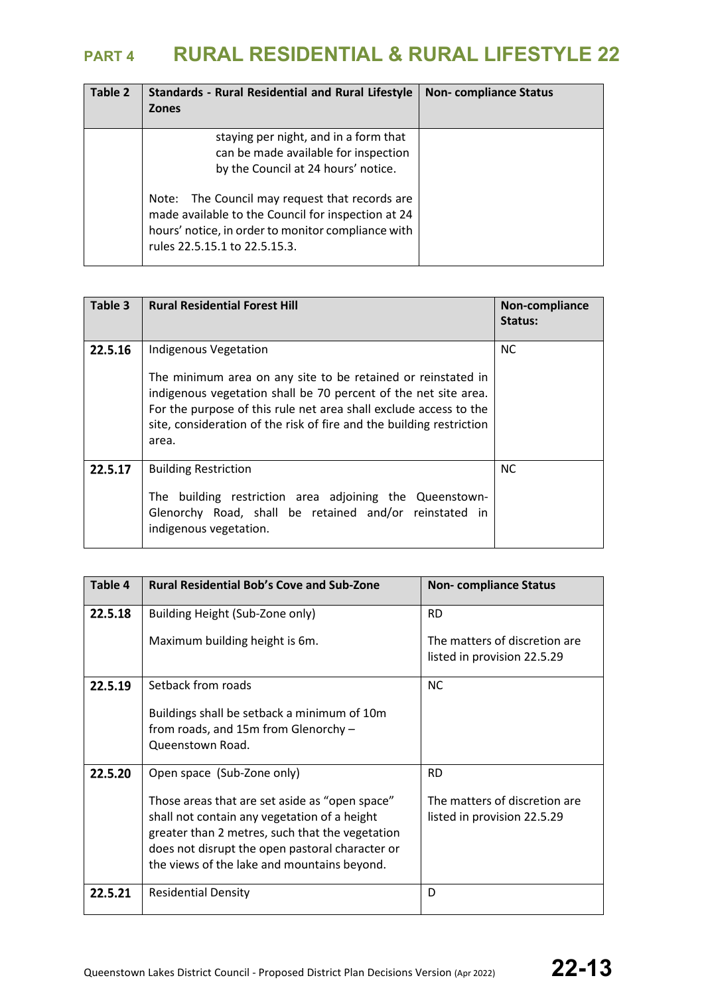| Table 2 | <b>Standards - Rural Residential and Rural Lifestyle</b><br><b>Zones</b>                                                                                                                                                                                                                                               | <b>Non-compliance Status</b> |
|---------|------------------------------------------------------------------------------------------------------------------------------------------------------------------------------------------------------------------------------------------------------------------------------------------------------------------------|------------------------------|
|         | staying per night, and in a form that<br>can be made available for inspection<br>by the Council at 24 hours' notice.<br>The Council may request that records are<br>Note:<br>made available to the Council for inspection at 24<br>hours' notice, in order to monitor compliance with<br>rules 22.5.15.1 to 22.5.15.3. |                              |

| Table 3 | <b>Rural Residential Forest Hill</b>                                                                                                                                                                                                                                                                           | Non-compliance<br>Status: |
|---------|----------------------------------------------------------------------------------------------------------------------------------------------------------------------------------------------------------------------------------------------------------------------------------------------------------------|---------------------------|
| 22.5.16 | Indigenous Vegetation<br>The minimum area on any site to be retained or reinstated in<br>indigenous vegetation shall be 70 percent of the net site area.<br>For the purpose of this rule net area shall exclude access to the<br>site, consideration of the risk of fire and the building restriction<br>area. | <b>NC</b>                 |
| 22.5.17 | <b>Building Restriction</b><br>building restriction area adjoining the Queenstown-<br>The<br>Glenorchy Road, shall be retained and/or reinstated in<br>indigenous vegetation.                                                                                                                                  | <b>NC</b>                 |

| Table 4 | <b>Rural Residential Bob's Cove and Sub-Zone</b>                                                                                                                                                                                                    | <b>Non-compliance Status</b>                                 |
|---------|-----------------------------------------------------------------------------------------------------------------------------------------------------------------------------------------------------------------------------------------------------|--------------------------------------------------------------|
| 22.5.18 | Building Height (Sub-Zone only)                                                                                                                                                                                                                     | <b>RD</b>                                                    |
|         | Maximum building height is 6m.                                                                                                                                                                                                                      | The matters of discretion are<br>listed in provision 22.5.29 |
| 22.5.19 | Setback from roads                                                                                                                                                                                                                                  | <b>NC</b>                                                    |
|         | Buildings shall be setback a minimum of 10m<br>from roads, and 15m from Glenorchy -<br>Queenstown Road.                                                                                                                                             |                                                              |
| 22.5.20 | Open space (Sub-Zone only)                                                                                                                                                                                                                          | <b>RD</b>                                                    |
|         | Those areas that are set aside as "open space"<br>shall not contain any vegetation of a height<br>greater than 2 metres, such that the vegetation<br>does not disrupt the open pastoral character or<br>the views of the lake and mountains beyond. | The matters of discretion are<br>listed in provision 22.5.29 |
| 22.5.21 | <b>Residential Density</b>                                                                                                                                                                                                                          | D                                                            |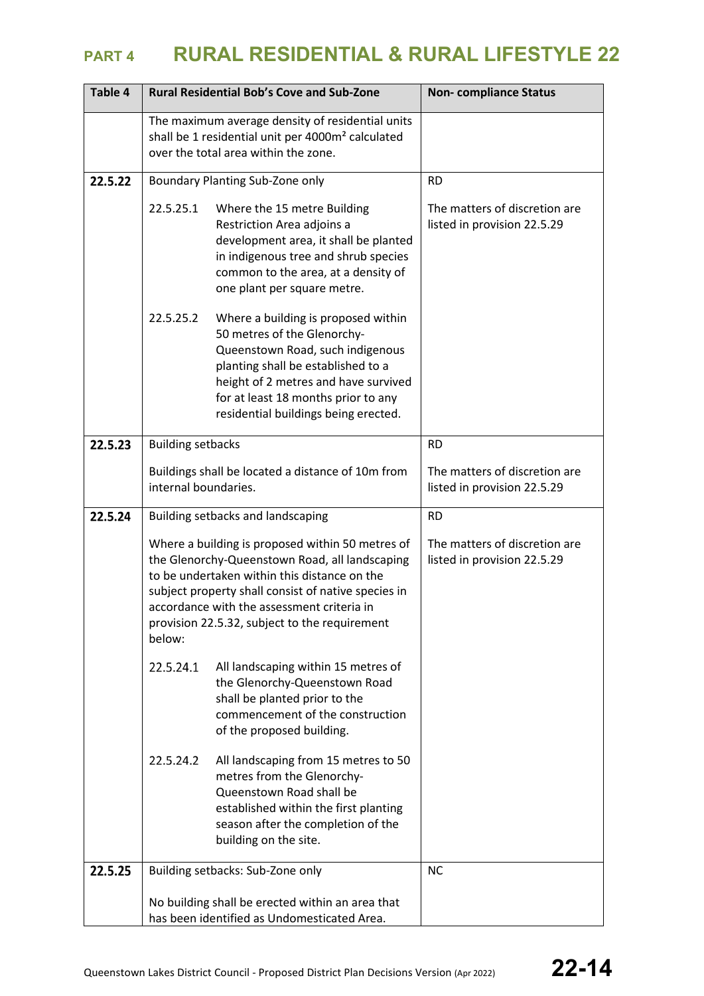| Table 4 |                          | <b>Rural Residential Bob's Cove and Sub-Zone</b>                                                                                                                                                                                                                                                         | <b>Non-compliance Status</b>                                 |
|---------|--------------------------|----------------------------------------------------------------------------------------------------------------------------------------------------------------------------------------------------------------------------------------------------------------------------------------------------------|--------------------------------------------------------------|
|         |                          | The maximum average density of residential units<br>shall be 1 residential unit per 4000m <sup>2</sup> calculated<br>over the total area within the zone.                                                                                                                                                |                                                              |
| 22.5.22 |                          | Boundary Planting Sub-Zone only                                                                                                                                                                                                                                                                          | <b>RD</b>                                                    |
|         | 22.5.25.1                | Where the 15 metre Building<br>Restriction Area adjoins a<br>development area, it shall be planted<br>in indigenous tree and shrub species<br>common to the area, at a density of<br>one plant per square metre.                                                                                         | The matters of discretion are<br>listed in provision 22.5.29 |
|         | 22.5.25.2                | Where a building is proposed within<br>50 metres of the Glenorchy-<br>Queenstown Road, such indigenous<br>planting shall be established to a<br>height of 2 metres and have survived<br>for at least 18 months prior to any<br>residential buildings being erected.                                      |                                                              |
| 22.5.23 | <b>Building setbacks</b> |                                                                                                                                                                                                                                                                                                          | <b>RD</b>                                                    |
|         | internal boundaries.     | Buildings shall be located a distance of 10m from                                                                                                                                                                                                                                                        | The matters of discretion are<br>listed in provision 22.5.29 |
| 22.5.24 |                          | Building setbacks and landscaping                                                                                                                                                                                                                                                                        | <b>RD</b>                                                    |
|         | below:                   | Where a building is proposed within 50 metres of<br>the Glenorchy-Queenstown Road, all landscaping<br>to be undertaken within this distance on the<br>subject property shall consist of native species in<br>accordance with the assessment criteria in<br>provision 22.5.32, subject to the requirement | The matters of discretion are<br>listed in provision 22.5.29 |
|         | 22.5.24.1                | All landscaping within 15 metres of<br>the Glenorchy-Queenstown Road<br>shall be planted prior to the<br>commencement of the construction<br>of the proposed building.                                                                                                                                   |                                                              |
|         | 22.5.24.2                | All landscaping from 15 metres to 50<br>metres from the Glenorchy-<br>Queenstown Road shall be<br>established within the first planting<br>season after the completion of the<br>building on the site.                                                                                                   |                                                              |
| 22.5.25 |                          | Building setbacks: Sub-Zone only                                                                                                                                                                                                                                                                         | <b>NC</b>                                                    |
|         |                          | No building shall be erected within an area that<br>has been identified as Undomesticated Area.                                                                                                                                                                                                          |                                                              |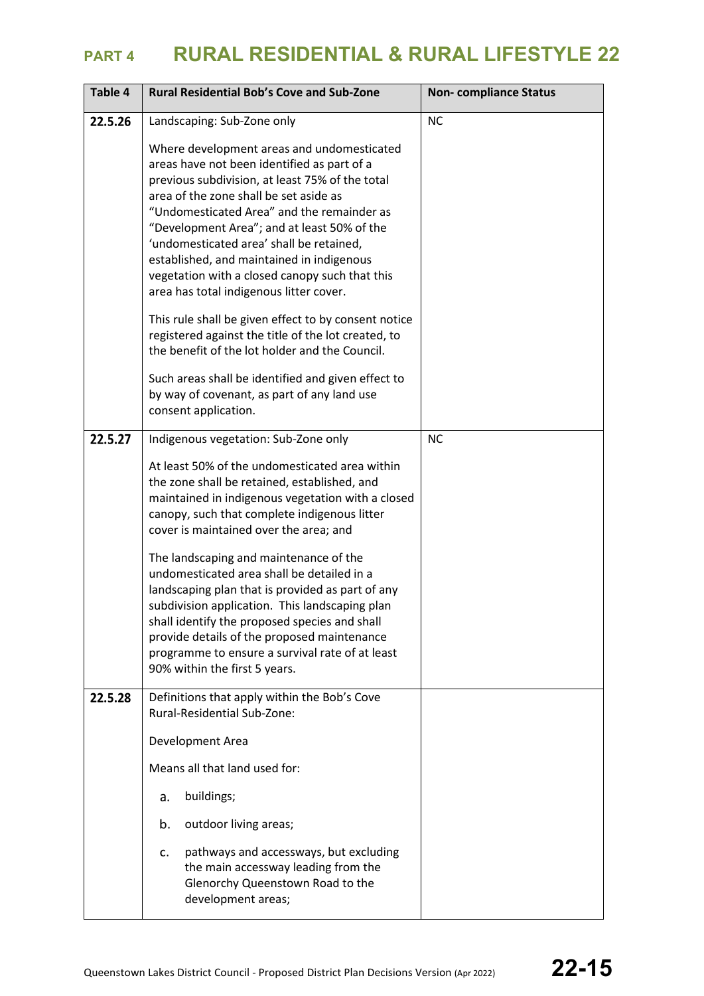| Table 4 | <b>Rural Residential Bob's Cove and Sub-Zone</b>                                                                                                                                                                                                                                                                                                                                                                                                                                                                                                                                                                                | <b>Non-compliance Status</b> |
|---------|---------------------------------------------------------------------------------------------------------------------------------------------------------------------------------------------------------------------------------------------------------------------------------------------------------------------------------------------------------------------------------------------------------------------------------------------------------------------------------------------------------------------------------------------------------------------------------------------------------------------------------|------------------------------|
| 22.5.26 | Landscaping: Sub-Zone only                                                                                                                                                                                                                                                                                                                                                                                                                                                                                                                                                                                                      | <b>NC</b>                    |
|         | Where development areas and undomesticated<br>areas have not been identified as part of a<br>previous subdivision, at least 75% of the total<br>area of the zone shall be set aside as<br>"Undomesticated Area" and the remainder as<br>"Development Area"; and at least 50% of the<br>'undomesticated area' shall be retained,<br>established, and maintained in indigenous<br>vegetation with a closed canopy such that this<br>area has total indigenous litter cover.                                                                                                                                                       |                              |
|         | This rule shall be given effect to by consent notice<br>registered against the title of the lot created, to<br>the benefit of the lot holder and the Council.                                                                                                                                                                                                                                                                                                                                                                                                                                                                   |                              |
|         | Such areas shall be identified and given effect to<br>by way of covenant, as part of any land use<br>consent application.                                                                                                                                                                                                                                                                                                                                                                                                                                                                                                       |                              |
| 22.5.27 | Indigenous vegetation: Sub-Zone only                                                                                                                                                                                                                                                                                                                                                                                                                                                                                                                                                                                            | <b>NC</b>                    |
|         | At least 50% of the undomesticated area within<br>the zone shall be retained, established, and<br>maintained in indigenous vegetation with a closed<br>canopy, such that complete indigenous litter<br>cover is maintained over the area; and<br>The landscaping and maintenance of the<br>undomesticated area shall be detailed in a<br>landscaping plan that is provided as part of any<br>subdivision application. This landscaping plan<br>shall identify the proposed species and shall<br>provide details of the proposed maintenance<br>programme to ensure a survival rate of at least<br>90% within the first 5 years. |                              |
| 22.5.28 | Definitions that apply within the Bob's Cove<br>Rural-Residential Sub-Zone:                                                                                                                                                                                                                                                                                                                                                                                                                                                                                                                                                     |                              |
|         | Development Area                                                                                                                                                                                                                                                                                                                                                                                                                                                                                                                                                                                                                |                              |
|         | Means all that land used for:                                                                                                                                                                                                                                                                                                                                                                                                                                                                                                                                                                                                   |                              |
|         | buildings;<br>a.                                                                                                                                                                                                                                                                                                                                                                                                                                                                                                                                                                                                                |                              |
|         | outdoor living areas;<br>b.                                                                                                                                                                                                                                                                                                                                                                                                                                                                                                                                                                                                     |                              |
|         | pathways and accessways, but excluding<br>c.<br>the main accessway leading from the<br>Glenorchy Queenstown Road to the<br>development areas;                                                                                                                                                                                                                                                                                                                                                                                                                                                                                   |                              |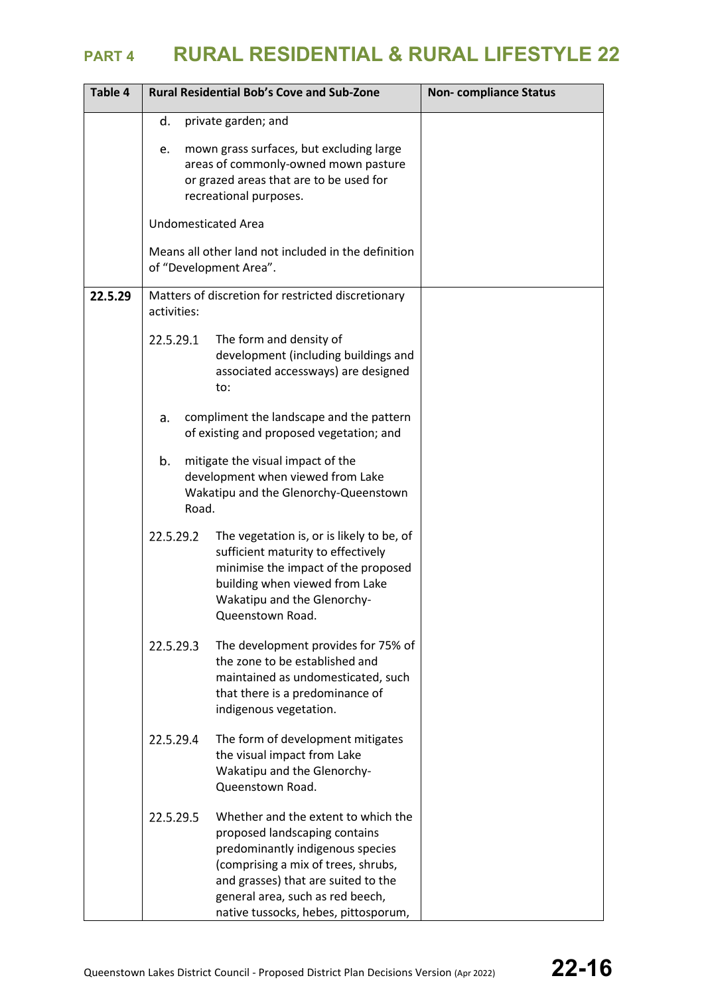| Table 4 | <b>Rural Residential Bob's Cove and Sub-Zone</b>                                                                                                                                                                                                                                | <b>Non-compliance Status</b> |
|---------|---------------------------------------------------------------------------------------------------------------------------------------------------------------------------------------------------------------------------------------------------------------------------------|------------------------------|
|         | d.<br>private garden; and                                                                                                                                                                                                                                                       |                              |
|         | mown grass surfaces, but excluding large<br>e.<br>areas of commonly-owned mown pasture<br>or grazed areas that are to be used for<br>recreational purposes.                                                                                                                     |                              |
|         | <b>Undomesticated Area</b>                                                                                                                                                                                                                                                      |                              |
|         | Means all other land not included in the definition<br>of "Development Area".                                                                                                                                                                                                   |                              |
| 22.5.29 | Matters of discretion for restricted discretionary<br>activities:                                                                                                                                                                                                               |                              |
|         | 22.5.29.1<br>The form and density of<br>development (including buildings and<br>associated accessways) are designed<br>to:                                                                                                                                                      |                              |
|         | compliment the landscape and the pattern<br>a.<br>of existing and proposed vegetation; and                                                                                                                                                                                      |                              |
|         | b.<br>mitigate the visual impact of the<br>development when viewed from Lake<br>Wakatipu and the Glenorchy-Queenstown<br>Road.                                                                                                                                                  |                              |
|         | 22.5.29.2<br>The vegetation is, or is likely to be, of<br>sufficient maturity to effectively<br>minimise the impact of the proposed<br>building when viewed from Lake<br>Wakatipu and the Glenorchy-<br>Queenstown Road.                                                        |                              |
|         | 22.5.29.3<br>The development provides for 75% of<br>the zone to be established and<br>maintained as undomesticated, such<br>that there is a predominance of<br>indigenous vegetation.                                                                                           |                              |
|         | 22.5.29.4<br>The form of development mitigates<br>the visual impact from Lake<br>Wakatipu and the Glenorchy-<br>Queenstown Road.                                                                                                                                                |                              |
|         | 22.5.29.5<br>Whether and the extent to which the<br>proposed landscaping contains<br>predominantly indigenous species<br>(comprising a mix of trees, shrubs,<br>and grasses) that are suited to the<br>general area, such as red beech,<br>native tussocks, hebes, pittosporum, |                              |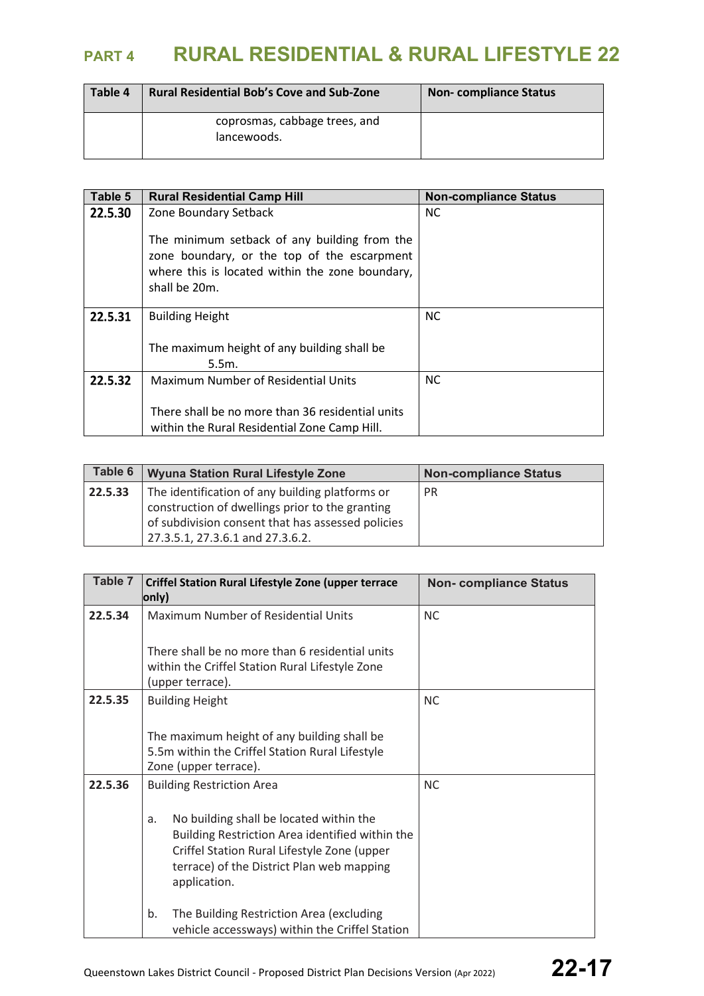| Table 4 | <b>Rural Residential Bob's Cove and Sub-Zone</b> | <b>Non-compliance Status</b> |
|---------|--------------------------------------------------|------------------------------|
|         | coprosmas, cabbage trees, and<br>lancewoods.     |                              |

| Table 5 | <b>Rural Residential Camp Hill</b>                                                                                                                              | <b>Non-compliance Status</b> |
|---------|-----------------------------------------------------------------------------------------------------------------------------------------------------------------|------------------------------|
| 22.5.30 | Zone Boundary Setback                                                                                                                                           | <b>NC</b>                    |
|         | The minimum setback of any building from the<br>zone boundary, or the top of the escarpment<br>where this is located within the zone boundary,<br>shall be 20m. |                              |
| 22.5.31 | <b>Building Height</b>                                                                                                                                          | <b>NC</b>                    |
|         | The maximum height of any building shall be<br>5.5m.                                                                                                            |                              |
| 22.5.32 | <b>Maximum Number of Residential Units</b>                                                                                                                      | <b>NC</b>                    |
|         | There shall be no more than 36 residential units<br>within the Rural Residential Zone Camp Hill.                                                                |                              |

| Table 6 | <b>Wyuna Station Rural Lifestyle Zone</b>         | <b>Non-compliance Status</b> |
|---------|---------------------------------------------------|------------------------------|
| 22.5.33 | The identification of any building platforms or   | <b>PR</b>                    |
|         | construction of dwellings prior to the granting   |                              |
|         | of subdivision consent that has assessed policies |                              |
|         | 27.3.5.1, 27.3.6.1 and 27.3.6.2.                  |                              |

| Table 7 | <b>Criffel Station Rural Lifestyle Zone (upper terrace</b><br>only)                                                                                                                                          | <b>Non-compliance Status</b> |
|---------|--------------------------------------------------------------------------------------------------------------------------------------------------------------------------------------------------------------|------------------------------|
| 22.5.34 | Maximum Number of Residential Units                                                                                                                                                                          | <b>NC</b>                    |
|         | There shall be no more than 6 residential units<br>within the Criffel Station Rural Lifestyle Zone<br>(upper terrace).                                                                                       |                              |
| 22.5.35 | <b>Building Height</b>                                                                                                                                                                                       | <b>NC</b>                    |
|         | The maximum height of any building shall be<br>5.5m within the Criffel Station Rural Lifestyle<br>Zone (upper terrace).                                                                                      |                              |
| 22.5.36 | <b>Building Restriction Area</b>                                                                                                                                                                             | <b>NC</b>                    |
|         | No building shall be located within the<br>a.<br>Building Restriction Area identified within the<br>Criffel Station Rural Lifestyle Zone (upper<br>terrace) of the District Plan web mapping<br>application. |                              |
|         | The Building Restriction Area (excluding<br>b.<br>vehicle accessways) within the Criffel Station                                                                                                             |                              |